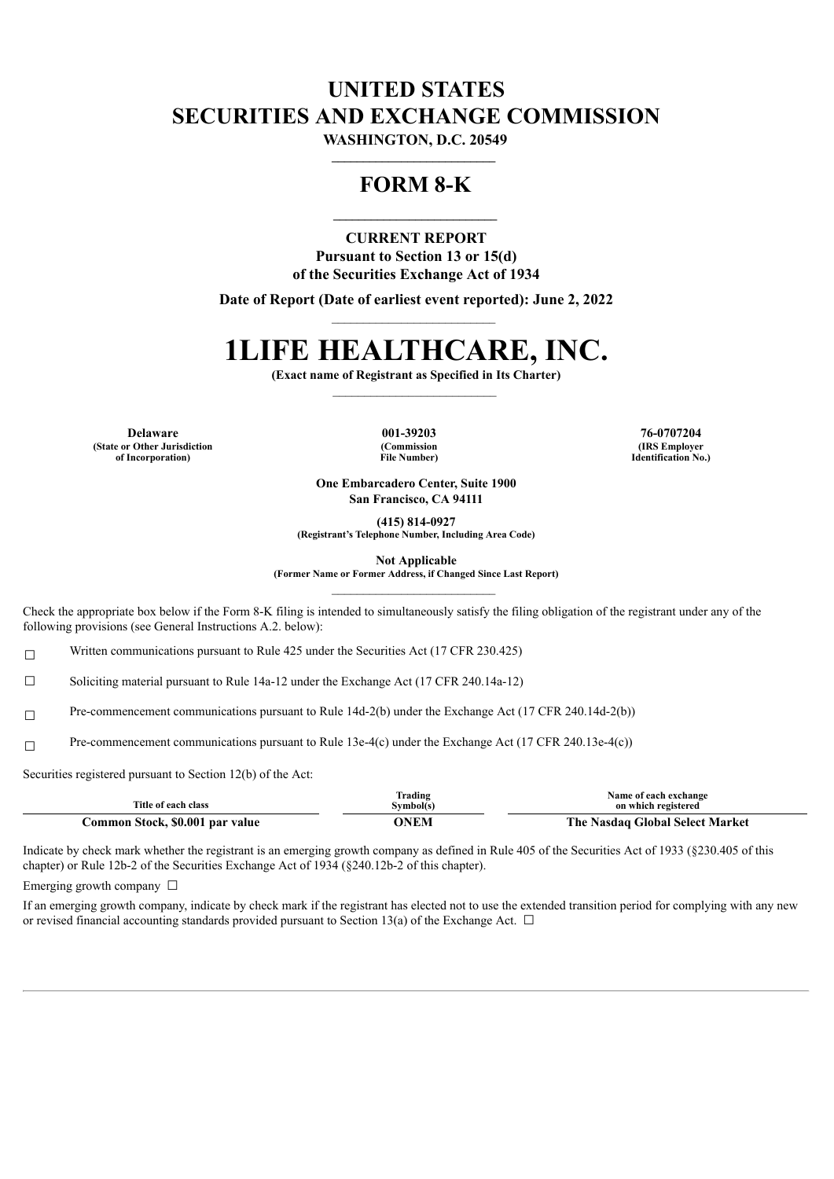## **UNITED STATES SECURITIES AND EXCHANGE COMMISSION**

**WASHINGTON, D.C. 20549 \_\_\_\_\_\_\_\_\_\_\_\_\_\_\_\_\_\_\_\_\_\_\_\_\_\_**

### **FORM 8-K**

**\_\_\_\_\_\_\_\_\_\_\_\_\_\_\_\_\_\_\_\_\_\_\_\_\_\_**

**CURRENT REPORT Pursuant to Section 13 or 15(d) of the Securities Exchange Act of 1934**

**Date of Report (Date of earliest event reported): June 2, 2022**

# **1LIFE HEALTHCARE, INC.**

**(Exact name of Registrant as Specified in Its Charter)**

**Delaware 001-39203 76-0707204 (State or Other Jurisdiction of Incorporation)**

**(Commission File Number)**

**(IRS Employer Identification No.)**

**One Embarcadero Center, Suite 1900 San Francisco, CA 94111**

**(415) 814-0927**

**(Registrant's Telephone Number, Including Area Code)**

**Not Applicable**

**(Former Name or Former Address, if Changed Since Last Report)**

Check the appropriate box below if the Form 8-K filing is intended to simultaneously satisfy the filing obligation of the registrant under any of the following provisions (see General Instructions A.2. below):

<del>□ Written communications pursuant to Rule 425 under the Securities Act (17 CFR 230.425)</del>

☐ Soliciting material pursuant to Rule 14a-12 under the Exchange Act (17 CFR 240.14a-12)

☐ Pre-commencement communications pursuant to Rule 14d-2(b) under the Exchange Act (17 CFR 240.14d-2(b))

 $□$  Pre-commencement communications pursuant to Rule 13e-4(c) under the Exchange Act (17 CFR 240.13e-4(c))

Securities registered pursuant to Section 12(b) of the Act:

| Title of each class             | Frading<br>Symbol(s) |                                      |
|---------------------------------|----------------------|--------------------------------------|
| Common Stock, \$0.001 par value | NEM                  | The .<br>Nasdag Global Select Market |

Indicate by check mark whether the registrant is an emerging growth company as defined in Rule 405 of the Securities Act of 1933 (§230.405 of this chapter) or Rule 12b-2 of the Securities Exchange Act of 1934 (§240.12b-2 of this chapter).

Emerging growth company  $\Box$ 

If an emerging growth company, indicate by check mark if the registrant has elected not to use the extended transition period for complying with any new or revised financial accounting standards provided pursuant to Section 13(a) of the Exchange Act.  $\Box$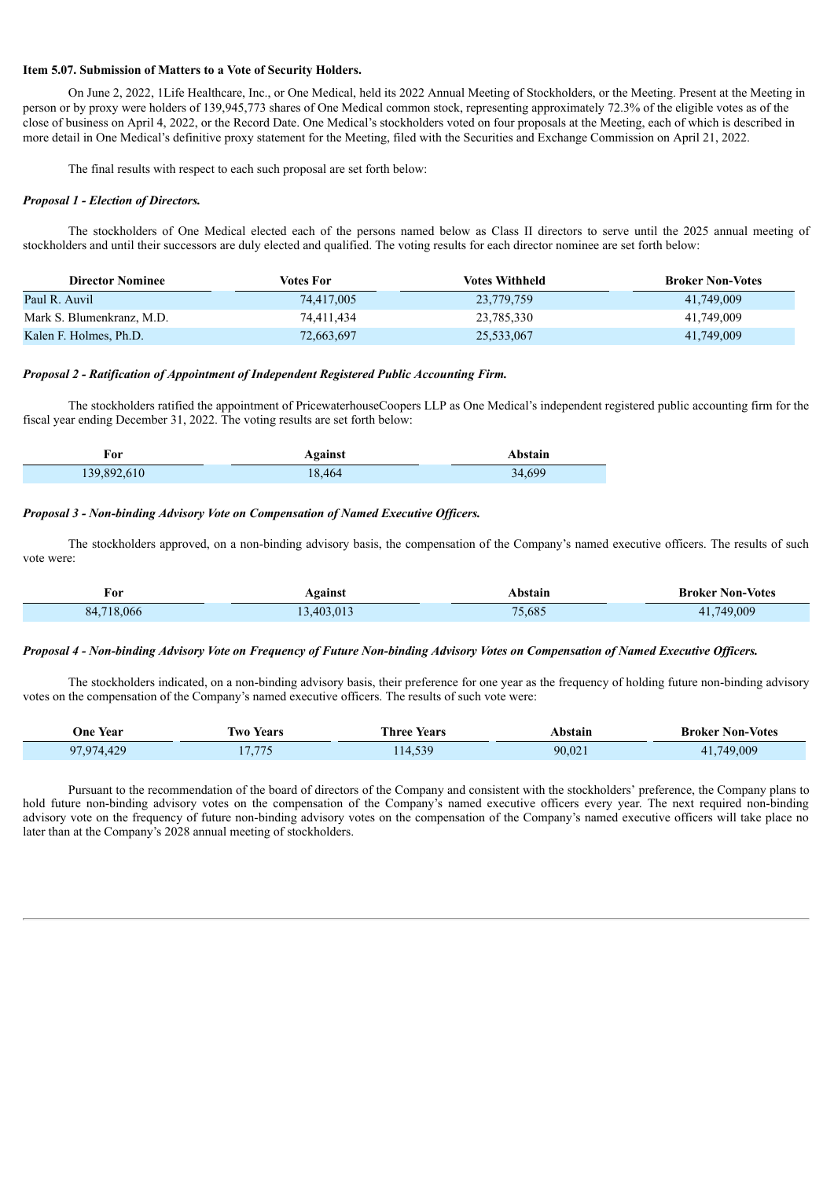#### **Item 5.07. Submission of Matters to a Vote of Security Holders.**

On June 2, 2022, 1Life Healthcare, Inc., or One Medical, held its 2022 Annual Meeting of Stockholders, or the Meeting. Present at the Meeting in person or by proxy were holders of 139,945,773 shares of One Medical common stock, representing approximately 72.3% of the eligible votes as of the close of business on April 4, 2022, or the Record Date. One Medical's stockholders voted on four proposals at the Meeting, each of which is described in more detail in One Medical's definitive proxy statement for the Meeting, filed with the Securities and Exchange Commission on April 21, 2022.

The final results with respect to each such proposal are set forth below:

#### *Proposal 1 - Election of Directors.*

The stockholders of One Medical elected each of the persons named below as Class II directors to serve until the 2025 annual meeting of stockholders and until their successors are duly elected and qualified. The voting results for each director nominee are set forth below:

| <b>Director Nominee</b>   | Votes For  | Votes Withheld | <b>Broker Non-Votes</b> |
|---------------------------|------------|----------------|-------------------------|
| Paul R. Auvil             | 74,417,005 | 23,779,759     | 41.749.009              |
| Mark S. Blumenkranz, M.D. | 74,411,434 | 23,785,330     | 41.749.009              |
| Kalen F. Holmes, Ph.D.    | 72,663,697 | 25,533,067     | 41,749,009              |

#### *Proposal 2 - Ratification of Appointment of Independent Registered Public Accounting Firm.*

The stockholders ratified the appointment of PricewaterhouseCoopers LLP as One Medical's independent registered public accounting firm for the fiscal year ending December 31, 2022. The voting results are set forth below:

| For         | <b>Against</b> | Abstain |  |
|-------------|----------------|---------|--|
| 139,892,610 | 18.464         | 34,699  |  |

#### *Proposal 3 - Non-binding Advisory Vote on Compensation of Named Executive Of icers.*

The stockholders approved, on a non-binding advisory basis, the compensation of the Company's named executive officers. The results of such vote were:

| ÷<br>For      | Against   | Abstain | <b>Broker Non-Votes</b> |
|---------------|-----------|---------|-------------------------|
| 718.066<br>84 | 3,403,013 | 75,685  | .749.009<br>41.         |

#### Proposal 4 - Non-binding Advisory Vote on Frequency of Future Non-binding Advisory Votes on Compensation of Named Executive Officers.

The stockholders indicated, on a non-binding advisory basis, their preference for one year as the frequency of holding future non-binding advisory votes on the compensation of the Company's named executive officers. The results of such vote were:

| One Year            | Years<br>W <sub>0</sub> | <b>CENTER</b><br>Years<br>. hree | Abstain | Non-Votes<br>Broker |
|---------------------|-------------------------|----------------------------------|---------|---------------------|
| n.<br>$\sim$<br>100 | $-777$                  | $-20$<br>.                       | 90,021  | 749.009             |

Pursuant to the recommendation of the board of directors of the Company and consistent with the stockholders' preference, the Company plans to hold future non-binding advisory votes on the compensation of the Company's named executive officers every year. The next required non-binding advisory vote on the frequency of future non-binding advisory votes on the compensation of the Company's named executive officers will take place no later than at the Company's 2028 annual meeting of stockholders.